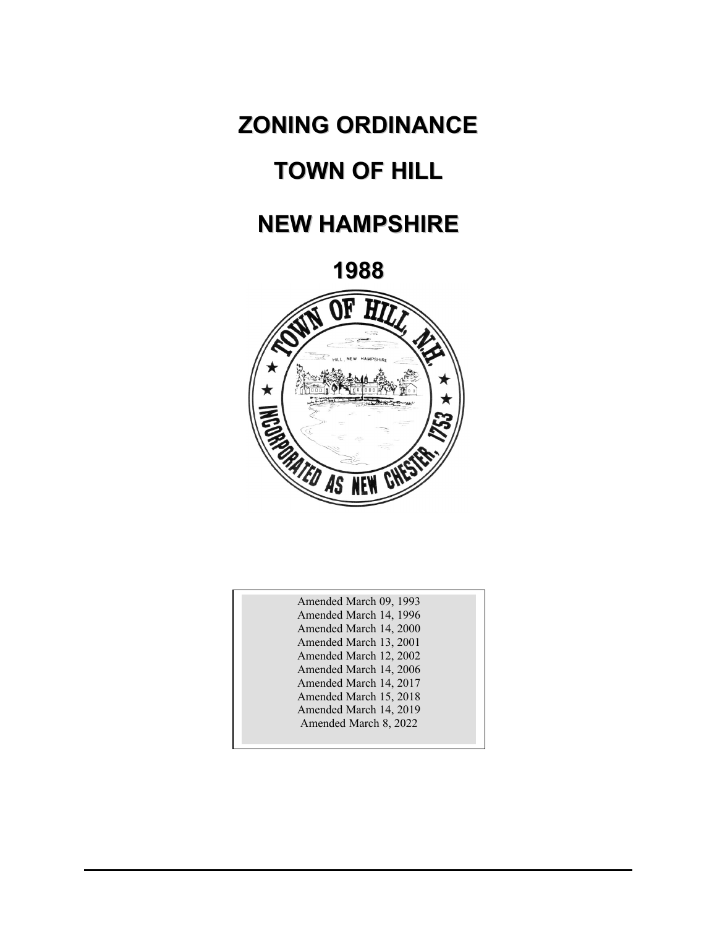# **ZONING ORDINANCE**

# **TOWN OF HILL**

## **NEW HAMPSHIRE**



| Amended March 09, 1993 |
|------------------------|
| Amended March 14, 1996 |
| Amended March 14, 2000 |
| Amended March 13, 2001 |
| Amended March 12, 2002 |
| Amended March 14, 2006 |
| Amended March 14, 2017 |
| Amended March 15, 2018 |
| Amended March 14, 2019 |
| Amended March 8, 2022  |
|                        |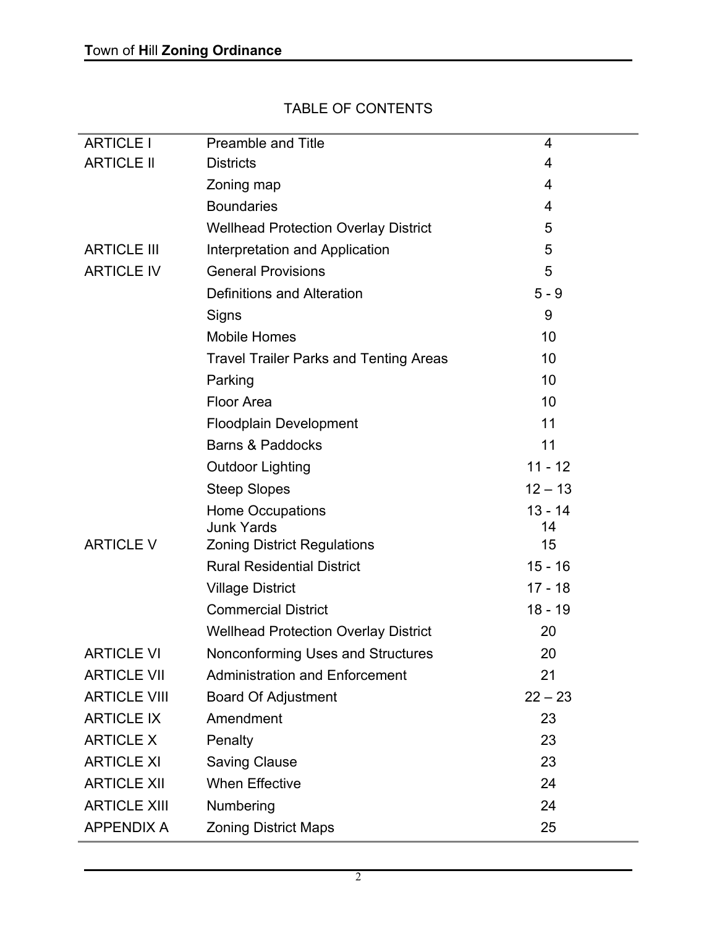| <b>ARTICLE I</b>    | <b>Preamble and Title</b>                     | 4         |
|---------------------|-----------------------------------------------|-----------|
| <b>ARTICLE II</b>   | <b>Districts</b>                              | 4         |
|                     | Zoning map                                    | 4         |
|                     | <b>Boundaries</b>                             | 4         |
|                     | <b>Wellhead Protection Overlay District</b>   | 5         |
| <b>ARTICLE III</b>  | Interpretation and Application                | 5         |
| <b>ARTICLE IV</b>   | <b>General Provisions</b>                     | 5         |
|                     | Definitions and Alteration                    | $5 - 9$   |
|                     | Signs                                         | 9         |
|                     | <b>Mobile Homes</b>                           | 10        |
|                     | <b>Travel Trailer Parks and Tenting Areas</b> | 10        |
|                     | Parking                                       | 10        |
|                     | Floor Area                                    | 10        |
|                     | <b>Floodplain Development</b>                 | 11        |
|                     | <b>Barns &amp; Paddocks</b>                   | 11        |
|                     | <b>Outdoor Lighting</b>                       | $11 - 12$ |
|                     | <b>Steep Slopes</b>                           | $12 - 13$ |
|                     | <b>Home Occupations</b>                       | $13 - 14$ |
|                     | <b>Junk Yards</b>                             | 14        |
| <b>ARTICLE V</b>    | <b>Zoning District Regulations</b>            | 15        |
|                     | <b>Rural Residential District</b>             | $15 - 16$ |
|                     | <b>Village District</b>                       | $17 - 18$ |
|                     | <b>Commercial District</b>                    | $18 - 19$ |
|                     | <b>Wellhead Protection Overlay District</b>   | 20        |
| <b>ARTICLE VI</b>   | Nonconforming Uses and Structures             | 20        |
| <b>ARTICLE VII</b>  | <b>Administration and Enforcement</b>         | 21        |
| <b>ARTICLE VIII</b> | <b>Board Of Adjustment</b>                    | $22 - 23$ |
| <b>ARTICLE IX</b>   | Amendment                                     | 23        |
| <b>ARTICLE X</b>    | Penalty                                       | 23        |
| <b>ARTICLE XI</b>   | <b>Saving Clause</b>                          | 23        |
| <b>ARTICLE XII</b>  | <b>When Effective</b>                         | 24        |
| <b>ARTICLE XIII</b> | Numbering                                     | 24        |
| <b>APPENDIX A</b>   | <b>Zoning District Maps</b>                   | 25        |

#### TABLE OF CONTENTS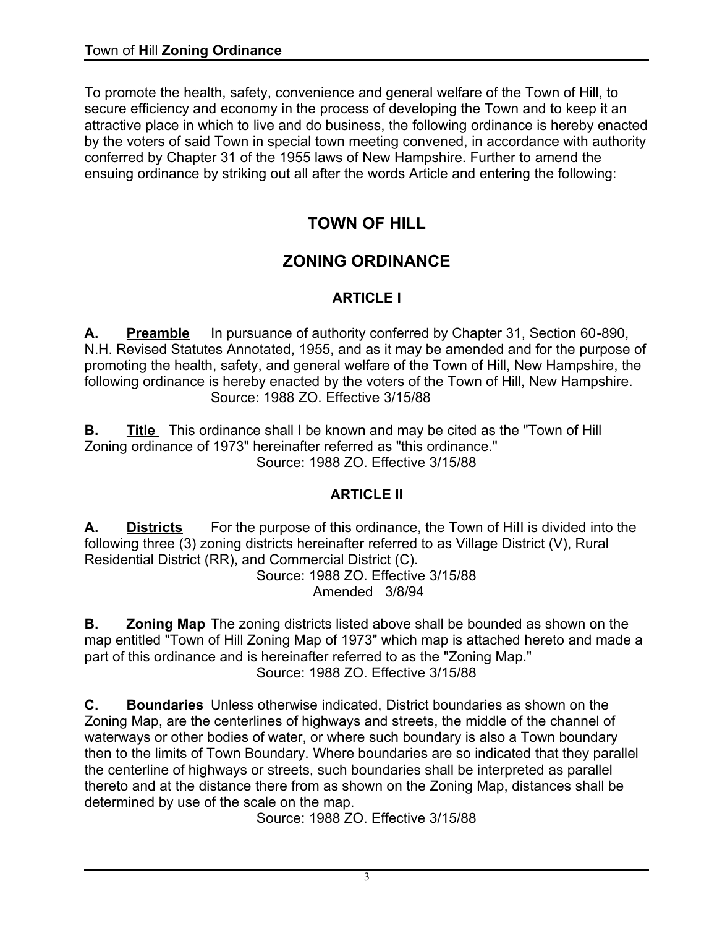To promote the health, safety, convenience and general welfare of the Town of Hill, to secure efficiency and economy in the process of developing the Town and to keep it an attractive place in which to live and do business, the following ordinance is hereby enacted by the voters of said Town in special town meeting convened, in accordance with authority conferred by Chapter 31 of the 1955 laws of New Hampshire. Further to amend the ensuing ordinance by striking out all after the words Article and entering the following:

## **TOWN OF HILL**

## **ZONING ORDINANCE**

## **ARTICLE I**

**A. Preamble** In pursuance of authority conferred by Chapter 31, Section 60-890, N.H. Revised Statutes Annotated, 1955, and as it may be amended and for the purpose of promoting the health, safety, and general welfare of the Town of Hill, New Hampshire, the following ordinance is hereby enacted by the voters of the Town of Hill, New Hampshire. Source: 1988 ZO. Effective 3/15/88

**B.** Title This ordinance shall I be known and may be cited as the "Town of Hill Zoning ordinance of 1973" hereinafter referred as "this ordinance." Source: 1988 ZO. Effective 3/15/88

## **ARTICLE II**

**A. Districts** For the purpose of this ordinance, the Town of HiII is divided into the following three (3) zoning districts hereinafter referred to as Village District (V), Rural Residential District (RR), and Commercial District (C).

Source: 1988 ZO. Effective 3/15/88 Amended 3/8/94

**B. Zoning Map** The zoning districts listed above shall be bounded as shown on the map entitled "Town of Hill Zoning Map of 1973" which map is attached hereto and made a part of this ordinance and is hereinafter referred to as the "Zoning Map." Source: 1988 ZO. Effective 3/15/88

**C. Boundaries** Unless otherwise indicated, District boundaries as shown on the Zoning Map, are the centerlines of highways and streets, the middle of the channel of waterways or other bodies of water, or where such boundary is also a Town boundary then to the limits of Town Boundary. Where boundaries are so indicated that they parallel the centerline of highways or streets, such boundaries shall be interpreted as parallel thereto and at the distance there from as shown on the Zoning Map, distances shall be determined by use of the scale on the map.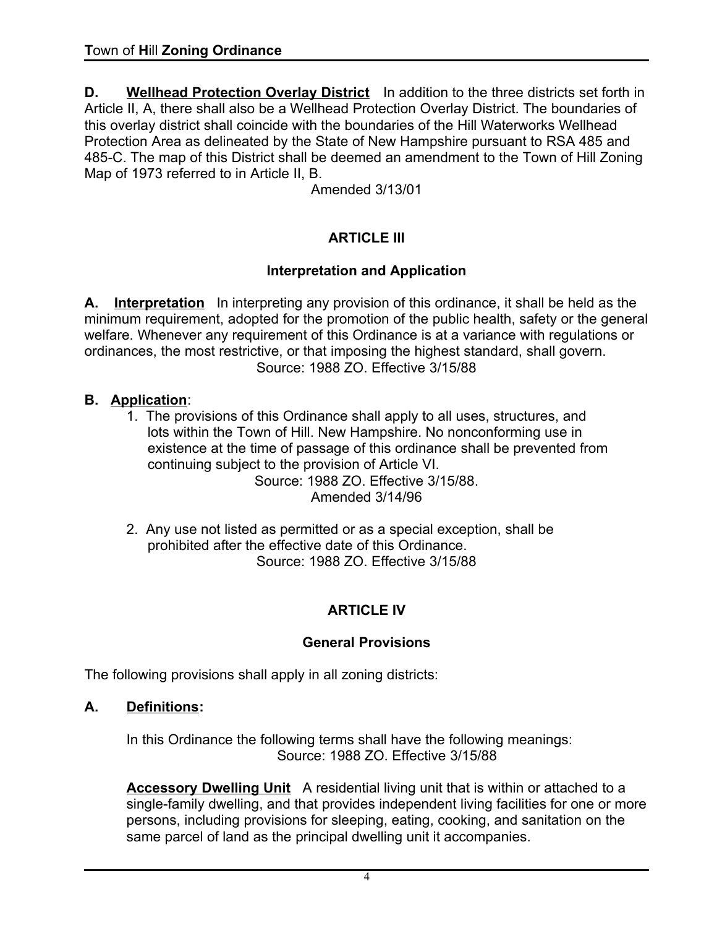**D. Wellhead Protection Overlay District** In addition to the three districts set forth in Article II, A, there shall also be a Wellhead Protection Overlay District. The boundaries of this overlay district shall coincide with the boundaries of the Hill Waterworks Wellhead Protection Area as delineated by the State of New Hampshire pursuant to RSA 485 and 485-C. The map of this District shall be deemed an amendment to the Town of Hill Zoning Map of 1973 referred to in Article II, B.

Amended 3/13/01

## **ARTICLE III**

#### **Interpretation and Application**

**A. Interpretation** In interpreting any provision of this ordinance, it shall be held as the minimum requirement, adopted for the promotion of the public health, safety or the general welfare. Whenever any requirement of this Ordinance is at a variance with regulations or ordinances, the most restrictive, or that imposing the highest standard, shall govern. Source: 1988 ZO. Effective 3/15/88

- **B. Application**:
	- 1. The provisions of this Ordinance shall apply to all uses, structures, and lots within the Town of Hill. New Hampshire. No nonconforming use in existence at the time of passage of this ordinance shall be prevented from continuing subject to the provision of Article VI. Source: 1988 ZO. Effective 3/15/88. Amended 3/14/96
	- 2. Any use not listed as permitted or as a special exception, shall be prohibited after the effective date of this Ordinance. Source: 1988 ZO. Effective 3/15/88

#### **ARTICLE IV**

#### **General Provisions**

The following provisions shall apply in all zoning districts:

#### **A. Definitions:**

In this Ordinance the following terms shall have the following meanings: Source: 1988 ZO. Effective 3/15/88

**Accessory Dwelling Unit** A residential living unit that is within or attached to a single-family dwelling, and that provides independent living facilities for one or more persons, including provisions for sleeping, eating, cooking, and sanitation on the same parcel of land as the principal dwelling unit it accompanies.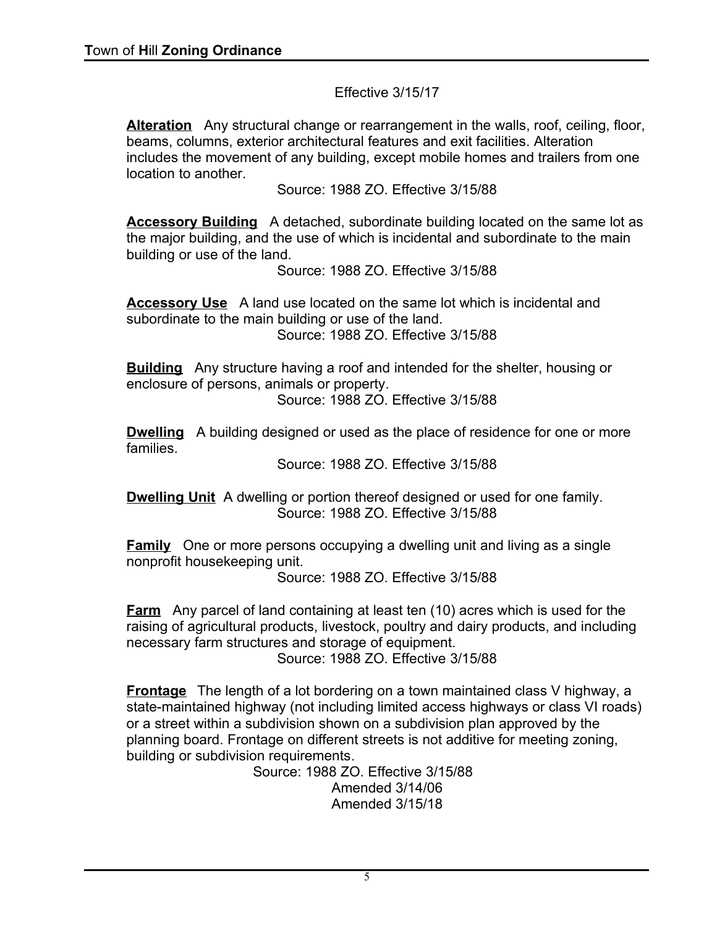Effective 3/15/17

**Alteration** Any structural change or rearrangement in the walls, roof, ceiling, floor, beams, columns, exterior architectural features and exit facilities. Alteration includes the movement of any building, except mobile homes and trailers from one location to another.

Source: 1988 ZO. Effective 3/15/88

**Accessory Building** A detached, subordinate building located on the same lot as the major building, and the use of which is incidental and subordinate to the main building or use of the land.

Source: 1988 ZO. Effective 3/15/88

Accessory Use A land use located on the same lot which is incidental and subordinate to the main building or use of the land. Source: 1988 ZO. Effective 3/15/88

**Building** Any structure having a roof and intended for the shelter, housing or enclosure of persons, animals or property. Source: 1988 ZO. Effective 3/15/88

**Dwelling** A building designed or used as the place of residence for one or more families.

Source: 1988 ZO. Effective 3/15/88

**Dwelling Unit** A dwelling or portion thereof designed or used for one family. Source: 1988 ZO. Effective 3/15/88

**Family** One or more persons occupying a dwelling unit and living as a single nonprofit housekeeping unit.

Source: 1988 ZO. Effective 3/15/88

**Farm** Any parcel of land containing at least ten (10) acres which is used for the raising of agricultural products, livestock, poultry and dairy products, and including necessary farm structures and storage of equipment.

Source: 1988 ZO. Effective 3/15/88

**Frontage** The length of a lot bordering on a town maintained class V highway, a state-maintained highway (not including limited access highways or class VI roads) or a street within a subdivision shown on a subdivision plan approved by the planning board. Frontage on different streets is not additive for meeting zoning, building or subdivision requirements.

Source: 1988 ZO. Effective 3/15/88 Amended 3/14/06 Amended 3/15/18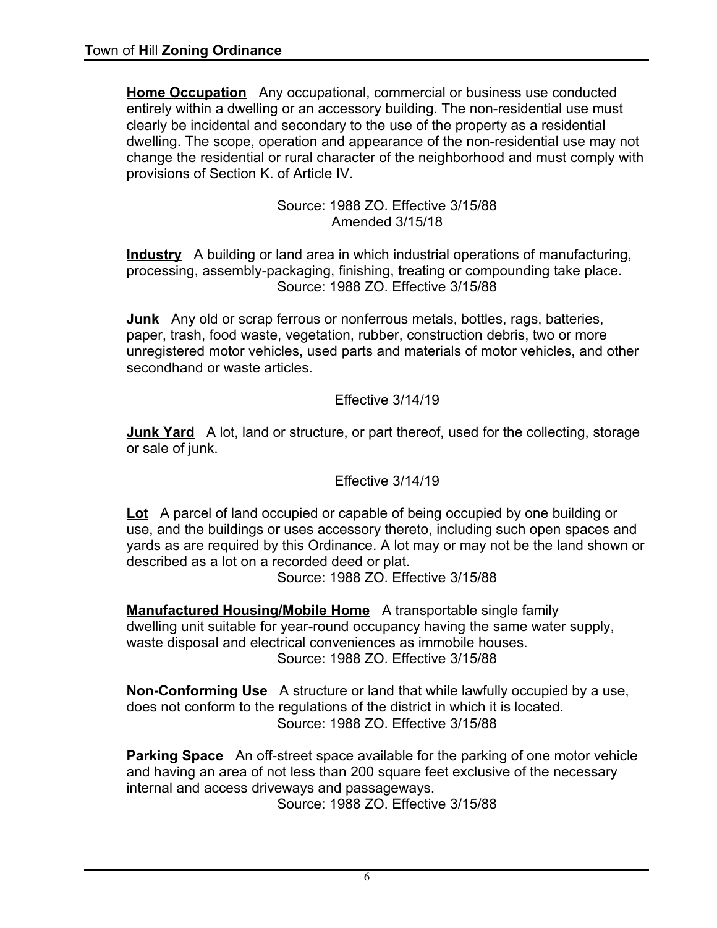**Home Occupation** Any occupational, commercial or business use conducted entirely within a dwelling or an accessory building. The non-residential use must clearly be incidental and secondary to the use of the property as a residential dwelling. The scope, operation and appearance of the non-residential use may not change the residential or rural character of the neighborhood and must comply with provisions of Section K. of Article IV.

> Source: 1988 ZO. Effective 3/15/88 Amended 3/15/18

**Industry** A building or land area in which industrial operations of manufacturing, processing, assembly-packaging, finishing, treating or compounding take place. Source: 1988 ZO. Effective 3/15/88

**Junk** Any old or scrap ferrous or nonferrous metals, bottles, rags, batteries, paper, trash, food waste, vegetation, rubber, construction debris, two or more unregistered motor vehicles, used parts and materials of motor vehicles, and other secondhand or waste articles.

Effective 3/14/19

**Junk Yard** A lot, land or structure, or part thereof, used for the collecting, storage or sale of junk.

Effective 3/14/19

**Lot** A parcel of land occupied or capable of being occupied by one building or use, and the buildings or uses accessory thereto, including such open spaces and yards as are required by this Ordinance. A lot may or may not be the land shown or described as a lot on a recorded deed or plat.

Source: 1988 ZO. Effective 3/15/88

**Manufactured Housing/Mobile Home** A transportable single family dwelling unit suitable for year-round occupancy having the same water supply, waste disposal and electrical conveniences as immobile houses. Source: 1988 ZO. Effective 3/15/88

**Non-Conforming Use** A structure or land that while lawfully occupied by a use, does not conform to the regulations of the district in which it is located. Source: 1988 ZO. Effective 3/15/88

**Parking Space** An off-street space available for the parking of one motor vehicle and having an area of not less than 200 square feet exclusive of the necessary internal and access driveways and passageways.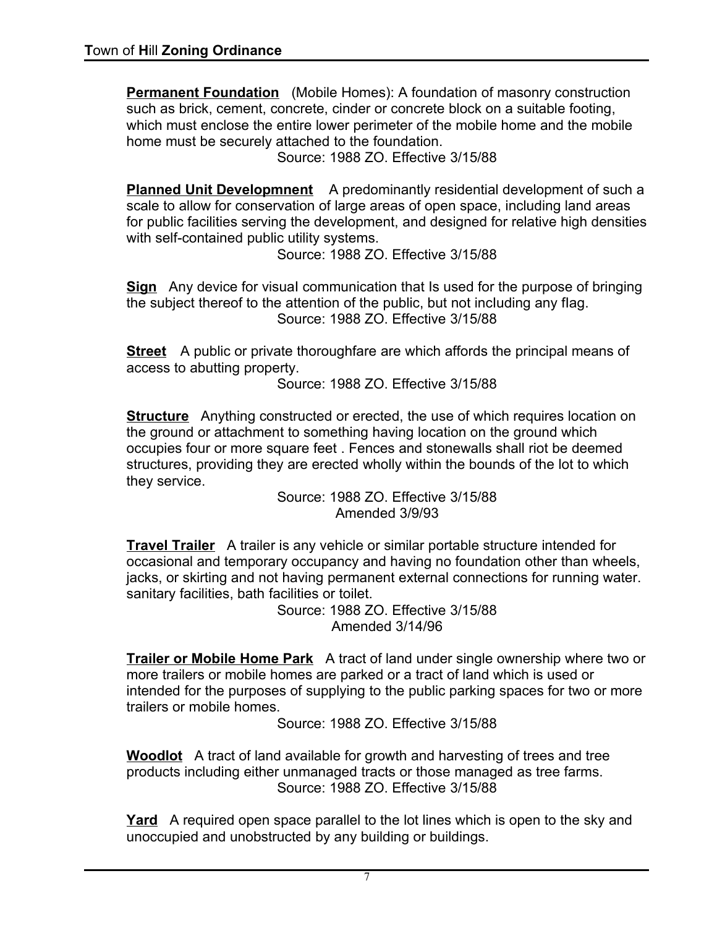**Permanent Foundation** (Mobile Homes): A foundation of masonry construction such as brick, cement, concrete, cinder or concrete block on a suitable footing, which must enclose the entire lower perimeter of the mobile home and the mobile home must be securely attached to the foundation.

Source: 1988 ZO. Effective 3/15/88

**Planned Unit Developmnent** A predominantly residential development of such a scale to allow for conservation of large areas of open space, including land areas for public facilities serving the development, and designed for relative high densities with self-contained public utility systems.

Source: 1988 ZO. Effective 3/15/88

**Sign** Any device for visual communication that Is used for the purpose of bringing the subject thereof to the attention of the public, but not incIuding any fIag. Source: 1988 ZO. Effective 3/15/88

**Street** A public or private thoroughfare are which affords the principal means of access to abutting property.

Source: 1988 ZO. Effective 3/15/88

**Structure** Anything constructed or erected, the use of which requires location on the ground or attachment to something having location on the ground which occupies four or more square feet . Fences and stonewalls shall riot be deemed structures, providing they are erected wholly within the bounds of the lot to which they service.

Source: 1988 ZO. Effective 3/15/88 Amended 3/9/93

**Travel Trailer** A trailer is any vehicle or similar portable structure intended for occasional and temporary occupancy and having no foundation other than wheels, jacks, or skirting and not having permanent external connections for running water. sanitary facilities, bath facilities or toilet.

Source: 1988 ZO. Effective 3/15/88 Amended 3/14/96

**Trailer or Mobile Home Park** A tract of land under single ownership where two or more trailers or mobile homes are parked or a tract of land which is used or intended for the purposes of supplying to the public parking spaces for two or more trailers or mobile homes.

Source: 1988 ZO. Effective 3/15/88

**Woodlot** A tract of land available for growth and harvesting of trees and tree products including either unmanaged tracts or those managed as tree farms. Source: 1988 ZO. Effective 3/15/88

**Yard** A required open space parallel to the lot lines which is open to the sky and unoccupied and unobstructed by any building or buildings.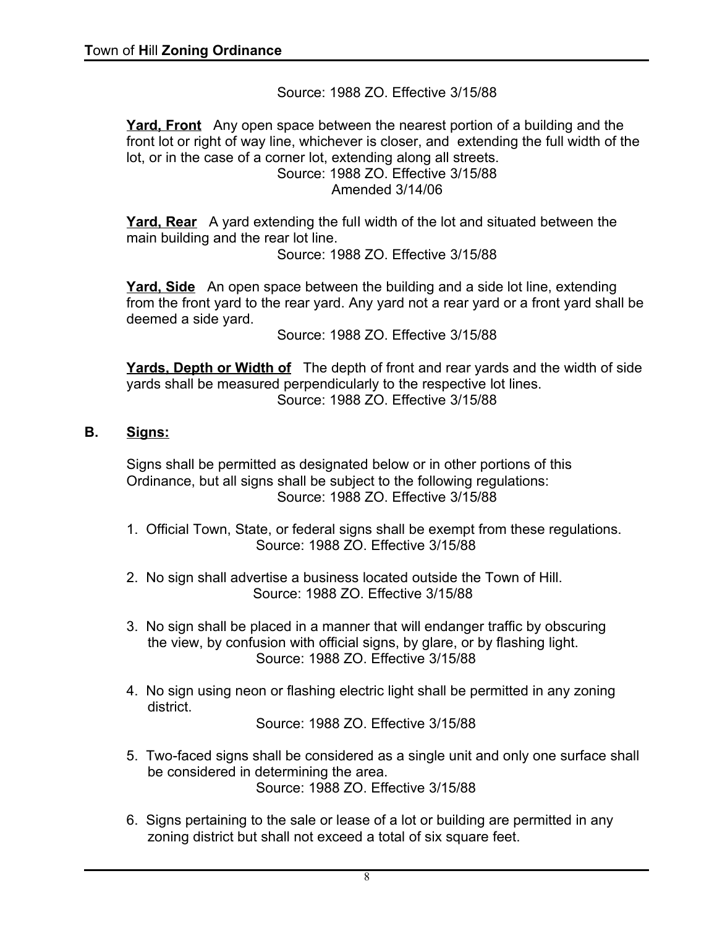Source: 1988 ZO. Effective 3/15/88

**Yard, Front** Any open space between the nearest portion of a building and the front lot or right of way line, whichever is closer, and extending the full width of the lot, or in the case of a corner lot, extending along all streets.

Source: 1988 ZO. Effective 3/15/88 Amended 3/14/06

**Yard, Rear** A yard extending the full width of the lot and situated between the main building and the rear lot line.

Source: 1988 ZO. Effective 3/15/88

**Yard, Side** An open space between the building and a side lot line, extending from the front yard to the rear yard. Any yard not a rear yard or a front yard shall be deemed a side yard.

Source: 1988 ZO. Effective 3/15/88

**Yards, Depth or Width of** The depth of front and rear yards and the width of side yards shall be measured perpendicularly to the respective lot lines. Source: 1988 ZO. Effective 3/15/88

#### **B. Signs:**

Signs shall be permitted as designated below or in other portions of this Ordinance, but all signs shall be subject to the following regulations: Source: 1988 ZO. Effective 3/15/88

- 1. Official Town, State, or federal signs shall be exempt from these regulations. Source: 1988 ZO. Effective 3/15/88
- 2. No sign shall advertise a business located outside the Town of Hill. Source: 1988 ZO. Effective 3/15/88
- 3. No sign shall be placed in a manner that will endanger traffic by obscuring the view, by confusion with official signs, by glare, or by flashing light. Source: 1988 ZO. Effective 3/15/88
- 4. No sign using neon or flashing electric light shall be permitted in any zoning district.

- 5. Two-faced signs shall be considered as a single unit and only one surface shall be considered in determining the area. Source: 1988 ZO. Effective 3/15/88
- 6. Signs pertaining to the sale or lease of a lot or building are permitted in any zoning district but shall not exceed a total of six square feet.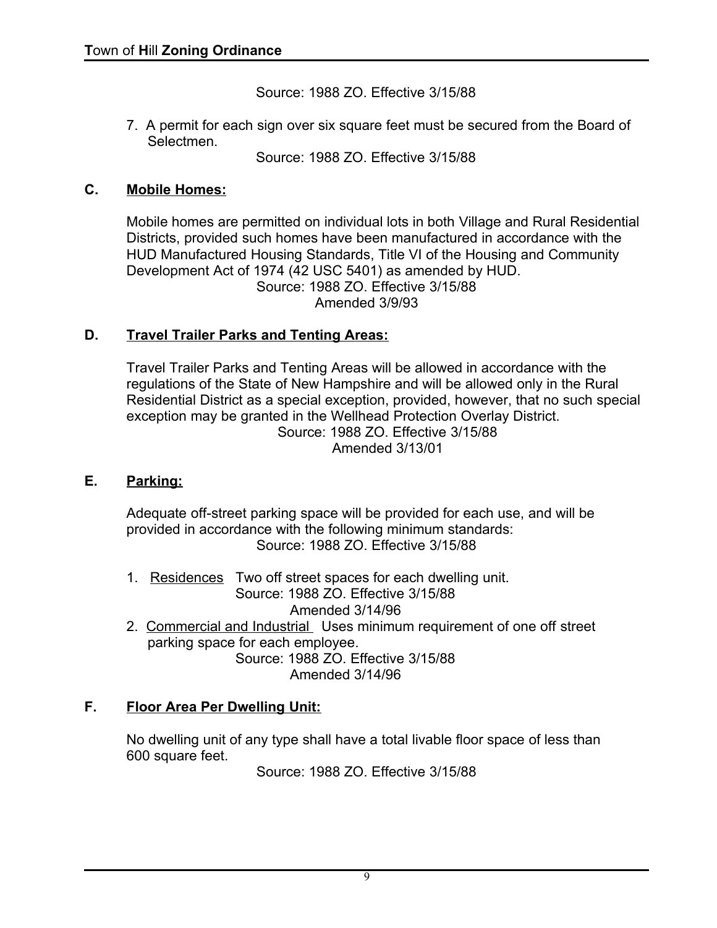Source: 1988 ZO. Effective 3/15/88

7. A permit for each sign over six square feet must be secured from the Board of **Selectmen** 

Source: 1988 ZO. Effective 3/15/88

#### **C. Mobile Homes:**

Mobile homes are permitted on individual lots in both Village and Rural Residential Districts, provided such homes have been manufactured in accordance with the HUD Manufactured Housing Standards, Title VI of the Housing and Community Development Act of 1974 (42 USC 5401) as amended by HUD. Source: 1988 ZO. Effective 3/15/88 Amended 3/9/93

#### **D. Travel Trailer Parks and Tenting Areas:**

Travel Trailer Parks and Tenting Areas will be allowed in accordance with the regulations of the State of New Hampshire and will be allowed only in the Rural Residential District as a special exception, provided, however, that no such special exception may be granted in the Wellhead Protection Overlay District. Source: 1988 ZO. Effective 3/15/88 Amended 3/13/01

#### **E. Parking:**

Adequate off-street parking space will be provided for each use, and will be provided in accordance with the following minimum standards: Source: 1988 ZO. Effective 3/15/88

- 1. Residences Two off street spaces for each dwelling unit. Source: 1988 ZO. Effective 3/15/88
	- Amended 3/14/96
- 2. Commercial and Industrial Uses minimum requirement of one off street parking space for each employee. Source: 1988 ZO. Effective 3/15/88 Amended 3/14/96

#### **F. Floor Area Per Dwelling Unit:**

No dwelling unit of any type shall have a total livable floor space of less than 600 square feet.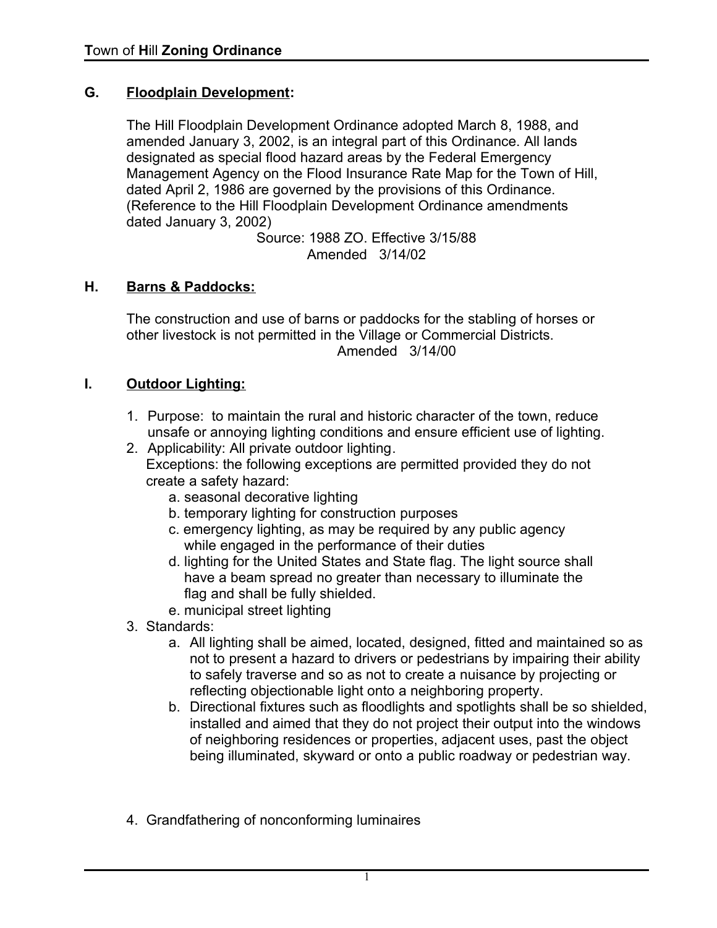#### **G. Floodplain Development:**

The Hill Floodplain Development Ordinance adopted March 8, 1988, and amended January 3, 2002, is an integral part of this Ordinance. All lands designated as special flood hazard areas by the Federal Emergency Management Agency on the Flood Insurance Rate Map for the Town of Hill, dated April 2, 1986 are governed by the provisions of this Ordinance. (Reference to the Hill Floodplain Development Ordinance amendments dated January 3, 2002)

Source: 1988 ZO. Effective 3/15/88 Amended 3/14/02

#### **H. Barns & Paddocks:**

The construction and use of barns or paddocks for the stabling of horses or other livestock is not permitted in the Village or Commercial Districts. Amended 3/14/00

#### **I. Outdoor Lighting:**

- 1. Purpose: to maintain the rural and historic character of the town, reduce unsafe or annoying lighting conditions and ensure efficient use of lighting.
- 2. Applicability: All private outdoor lighting. Exceptions: the following exceptions are permitted provided they do not create a safety hazard:
	- a. seasonal decorative lighting
	- b. temporary lighting for construction purposes
	- c. emergency lighting, as may be required by any public agency while engaged in the performance of their duties
	- d. lighting for the United States and State flag. The light source shall have a beam spread no greater than necessary to illuminate the flag and shall be fully shielded.
	- e. municipal street lighting
- 3. Standards:
	- a. All lighting shall be aimed, located, designed, fitted and maintained so as not to present a hazard to drivers or pedestrians by impairing their ability to safely traverse and so as not to create a nuisance by projecting or reflecting objectionable light onto a neighboring property.
	- b. Directional fixtures such as floodlights and spotlights shall be so shielded, installed and aimed that they do not project their output into the windows of neighboring residences or properties, adjacent uses, past the object being illuminated, skyward or onto a public roadway or pedestrian way.
- 4. Grandfathering of nonconforming luminaires
	- 1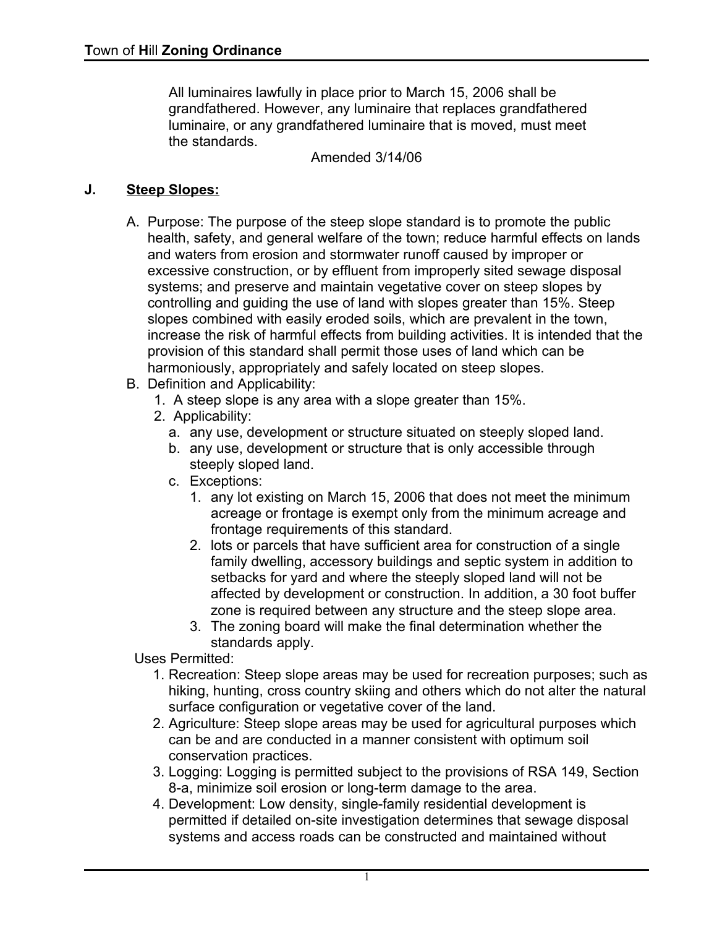All luminaires lawfully in place prior to March 15, 2006 shall be grandfathered. However, any luminaire that replaces grandfathered luminaire, or any grandfathered luminaire that is moved, must meet the standards.

Amended 3/14/06

#### **J. Steep Slopes:**

- A. Purpose: The purpose of the steep slope standard is to promote the public health, safety, and general welfare of the town; reduce harmful effects on lands and waters from erosion and stormwater runoff caused by improper or excessive construction, or by effluent from improperly sited sewage disposal systems; and preserve and maintain vegetative cover on steep slopes by controlling and guiding the use of land with slopes greater than 15%. Steep slopes combined with easily eroded soils, which are prevalent in the town, increase the risk of harmful effects from building activities. It is intended that the provision of this standard shall permit those uses of land which can be harmoniously, appropriately and safely located on steep slopes.
- B. Definition and Applicability:
	- 1. A steep slope is any area with a slope greater than 15%.
	- 2. Applicability:
		- a. any use, development or structure situated on steeply sloped land.
		- b. any use, development or structure that is only accessible through steeply sloped land.
		- c. Exceptions:
			- 1. any lot existing on March 15, 2006 that does not meet the minimum acreage or frontage is exempt only from the minimum acreage and frontage requirements of this standard.
			- 2. lots or parcels that have sufficient area for construction of a single family dwelling, accessory buildings and septic system in addition to setbacks for yard and where the steeply sloped land will not be affected by development or construction. In addition, a 30 foot buffer zone is required between any structure and the steep slope area.
			- 3. The zoning board will make the final determination whether the standards apply.

Uses Permitted:

- 1. Recreation: Steep slope areas may be used for recreation purposes; such as hiking, hunting, cross country skiing and others which do not alter the natural surface configuration or vegetative cover of the land.
- 2. Agriculture: Steep slope areas may be used for agricultural purposes which can be and are conducted in a manner consistent with optimum soil conservation practices.
- 3. Logging: Logging is permitted subject to the provisions of RSA 149, Section 8-a, minimize soil erosion or long-term damage to the area.
- 4. Development: Low density, single-family residential development is permitted if detailed on-site investigation determines that sewage disposal systems and access roads can be constructed and maintained without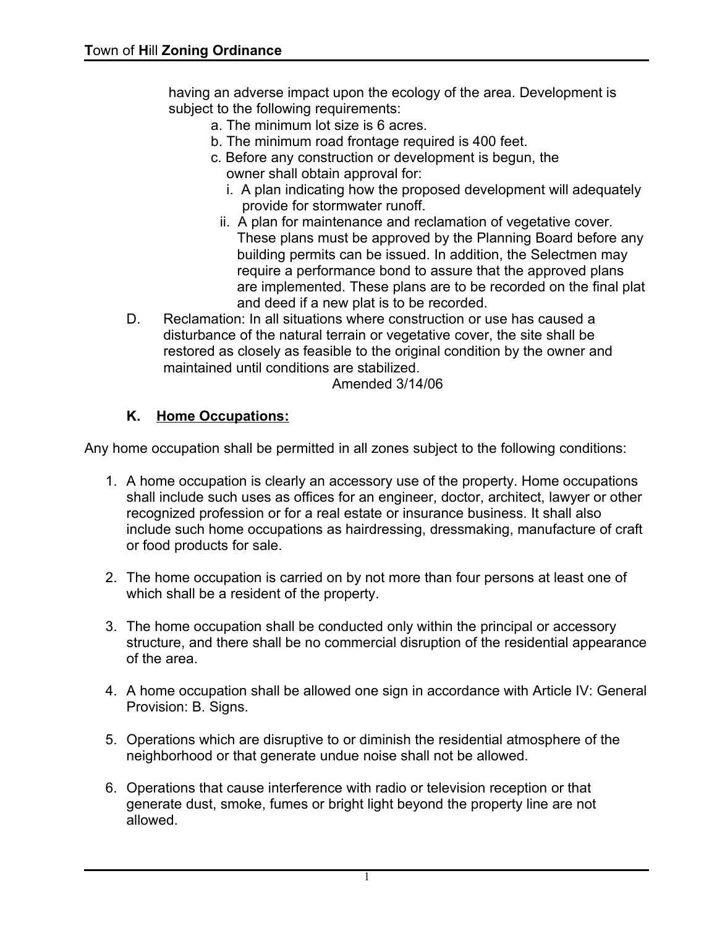having an adverse impact upon the ecology of the area. Development is subject to the following requirements:

- a. The minimum lot size is 6 acres.
- b. The minimum road frontage required is 400 feet.
- c. Before any construction or development is begun, the owner shall obtain approval for:
	- i. A plan indicating how the proposed development will adequately provide for stormwater runoff.
	- ii. A plan for maintenance and reclamation of vegetative cover. These plans must be approved by the Planning Board before any building permits can be issued. In addition, the Selectmen may require a performance bond to assure that the approved plans are implemented. These plans are to be recorded on the final plat and deed if a new plat is to be recorded.
- D. Reclamation: In all situations where construction or use has caused a disturbance of the natural terrain or vegetative cover, the site shall be restored as closely as feasible to the original condition by the owner and maintained until conditions are stabilized.

Amended 3/14/06

#### **K. Home Occupations :**

Any home occupation shall be permitted in all zones subject to the following conditions:

- 1. A home occupation is clearly an accessory use of the property. Home occupations shall include such uses as offices for an engineer, doctor, architect, lawyer or other recognized profession or for a real estate or insurance business. It shall also include such home occupations as hairdressing, dressmaking, manufacture of craft or food products for sale.
- 2. The home occupation is carried on by not more than four persons at least one of which shall be a resident of the property.
- 3. The home occupation shall be conducted only within the principal or accessory structure, and there shall be no commercial disruption of the residential appearance of the area.
- 4. A home occupation shall be allowed one sign in accordance with Article IV: General Provision: B. Signs.
- 5. Operations which are disruptive to or diminish the residential atmosphere of the neighborhood or that generate undue noise shall not be allowed.
- 6. Operations that cause interference with radio or television reception or that generate dust, smoke, fumes or bright light beyond the property line are not allowed.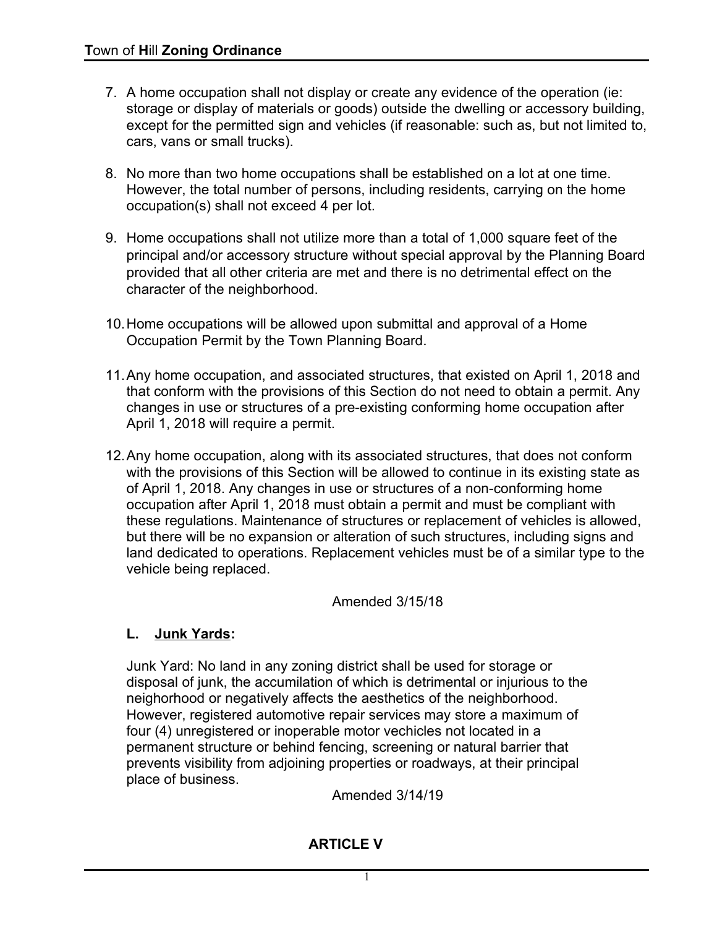- 7. A home occupation shall not display or create any evidence of the operation (ie: storage or display of materials or goods) outside the dwelling or accessory building, except for the permitted sign and vehicles (if reasonable: such as, but not limited to, cars, vans or small trucks).
- 8. No more than two home occupations shall be established on a lot at one time. However, the total number of persons, including residents, carrying on the home occupation(s) shall not exceed 4 per lot.
- 9. Home occupations shall not utilize more than a total of 1,000 square feet of the principal and/or accessory structure without special approval by the Planning Board provided that all other criteria are met and there is no detrimental effect on the character of the neighborhood.
- 10.Home occupations will be allowed upon submittal and approval of a Home Occupation Permit by the Town Planning Board.
- 11.Any home occupation, and associated structures, that existed on April 1, 2018 and that conform with the provisions of this Section do not need to obtain a permit. Any changes in use or structures of a pre-existing conforming home occupation after April 1, 2018 will require a permit.
- 12.Any home occupation, along with its associated structures, that does not conform with the provisions of this Section will be allowed to continue in its existing state as of April 1, 2018. Any changes in use or structures of a non-conforming home occupation after April 1, 2018 must obtain a permit and must be compliant with these regulations. Maintenance of structures or replacement of vehicles is allowed, but there will be no expansion or alteration of such structures, including signs and land dedicated to operations. Replacement vehicles must be of a similar type to the vehicle being replaced.

Amended 3/15/18

#### **L. Junk Yards:**

Junk Yard: No land in any zoning district shall be used for storage or disposal of junk, the accumilation of which is detrimental or injurious to the neighorhood or negatively affects the aesthetics of the neighborhood. However, registered automotive repair services may store a maximum of four (4) unregistered or inoperable motor vechicles not located in a permanent structure or behind fencing, screening or natural barrier that prevents visibility from adjoining properties or roadways, at their principal place of business.

Amended 3/14/19

## **ARTICLE V**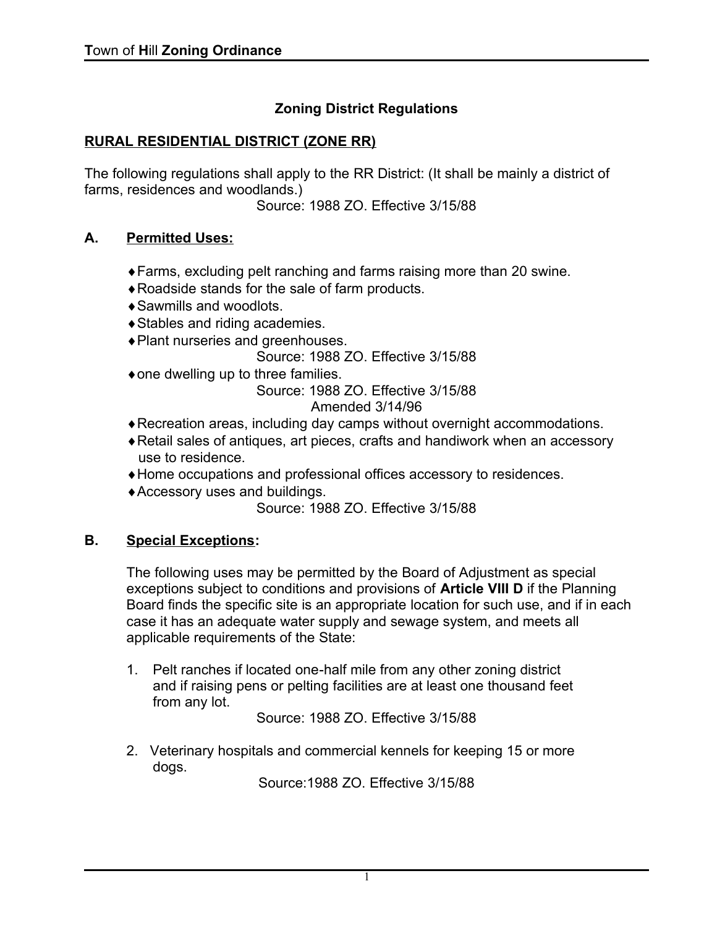#### **Zoning District Regulations**

#### **RURAL RESIDENTIAL DISTRICT (ZONE RR)**

The following regulations shall apply to the RR District: (It shall be mainly a district of farms, residences and woodlands.)

Source: 1988 ZO. Effective 3/15/88

#### **A. Permitted Uses:**

- Farms, excluding pelt ranching and farms raising more than 20 swine.
- Roadside stands for the sale of farm products.
- Sawmills and woodlots.
- Stables and riding academies.
- Plant nurseries and greenhouses.

Source: 1988 ZO. Effective 3/15/88

one dwelling up to three families.

Source: 1988 ZO. Effective 3/15/88 Amended 3/14/96

- Recreation areas, including day camps without overnight accommodations.
- Retail sales of antiques, art pieces, crafts and handiwork when an accessory use to residence.
- Home occupations and professional offices accessory to residences.
- Accessory uses and buildings.

Source: 1988 ZO. Effective 3/15/88

#### **B. Special Exceptions:**

The following uses may be permitted by the Board of Adjustment as special exceptions subject to conditions and provisions of **Article VIII D** if the Planning Board finds the specific site is an appropriate location for such use, and if in each case it has an adequate water supply and sewage system, and meets all applicable requirements of the State:

1. Pelt ranches if located one-half mile from any other zoning district and if raising pens or pelting facilities are at least one thousand feet from any lot.

Source: 1988 ZO. Effective 3/15/88

2. Veterinary hospitals and commercial kennels for keeping 15 or more dogs.

Source:1988 ZO. Effective 3/15/88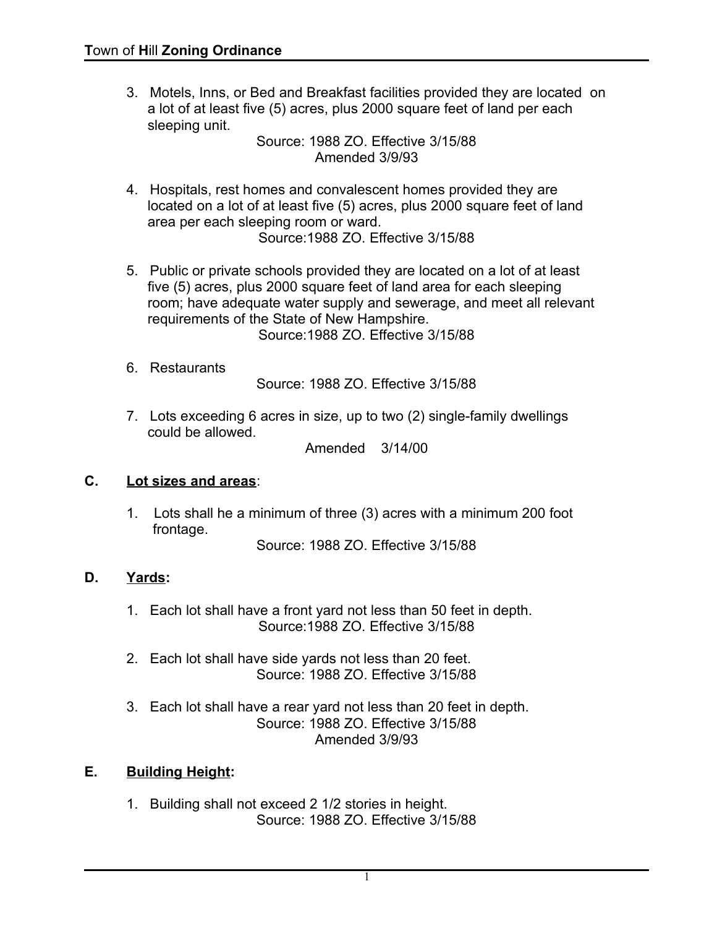3. Motels, Inns, or Bed and Breakfast facilities provided they are located on a lot of at least five (5) acres, plus 2000 square feet of land per each sleeping unit.

Source: 1988 ZO. Effective 3/15/88 Amended 3/9/93

- 4. Hospitals, rest homes and convalescent homes provided they are located on a lot of at least five (5) acres, plus 2000 square feet of land area per each sleeping room or ward. Source:1988 ZO. Effective 3/15/88
- 5. Public or private schools provided they are located on a lot of at least five (5) acres, plus 2000 square feet of land area for each sleeping room; have adequate water supply and sewerage, and meet all relevant requirements of the State of New Hampshire. Source:1988 ZO. Effective 3/15/88
- 6. Restaurants

Source: 1988 ZO. Effective 3/15/88

7. Lots exceeding 6 acres in size, up to two (2) single-family dwellings could be allowed.

Amended 3/14/00

#### **C. Lot sizes and areas**:

1. Lots shall he a minimum of three (3) acres with a minimum 200 foot frontage.

Source: 1988 ZO. Effective 3/15/88

#### **D. Yards:**

- 1. Each lot shall have a front yard not less than 50 feet in depth. Source:1988 ZO. Effective 3/15/88
- 2. Each lot shall have side yards not less than 20 feet. Source: 1988 ZO. Effective 3/15/88
- 3. Each lot shall have a rear yard not less than 20 feet in depth. Source: 1988 ZO. Effective 3/15/88 Amended 3/9/93

#### **E. Building Height:**

1. Building shall not exceed 2 1/2 stories in height. Source: 1988 ZO. Effective 3/15/88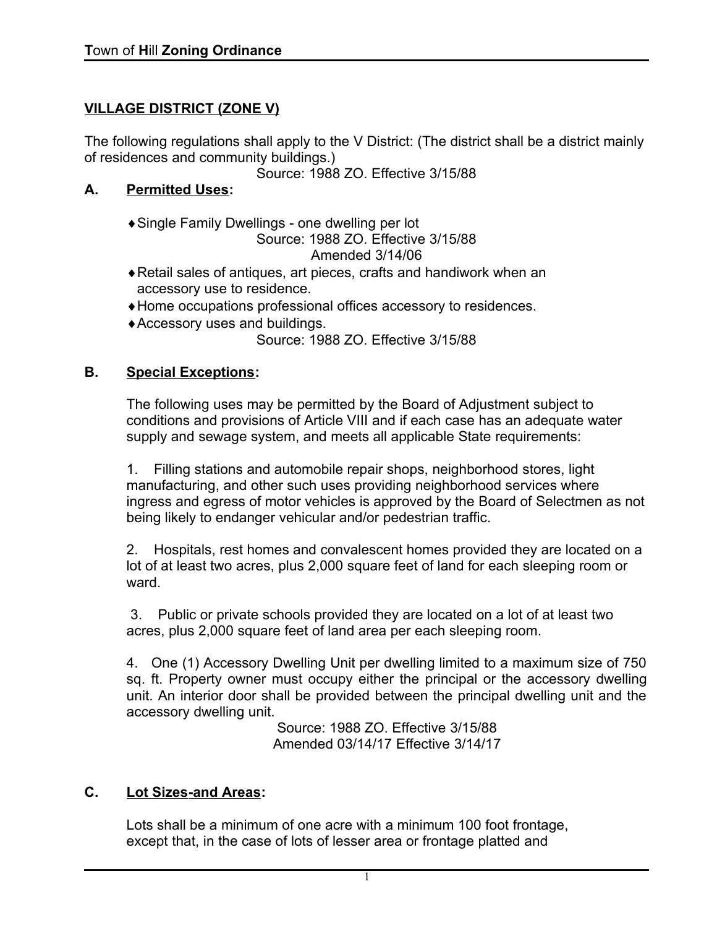#### **VILLAGE DISTRICT (ZONE V)**

The following regulations shall apply to the V District: (The district shall be a district mainly of residences and community buildings.)

Source: 1988 ZO. Effective 3/15/88

#### **A. Permitted Uses:**

Single Family Dwellings - one dwelling per lot

Source: 1988 ZO. Effective 3/15/88 Amended 3/14/06

- Retail sales of antiques, art pieces, crafts and handiwork when an accessory use to residence.
- Home occupations professional offices accessory to residences.
- Accessory uses and buildings.

Source: 1988 ZO. Effective 3/15/88

#### **B. Special Exceptions:**

The following uses may be permitted by the Board of Adjustment subject to conditions and provisions of Article VIII and if each case has an adequate water supply and sewage system, and meets all applicable State requirements:

1. Filling stations and automobile repair shops, neighborhood stores, light manufacturing, and other such uses providing neighborhood services where ingress and egress of motor vehicles is approved by the Board of Selectmen as not being likely to endanger vehicular and/or pedestrian traffic.

2. Hospitals, rest homes and convalescent homes provided they are located on a lot of at least two acres, plus 2,000 square feet of land for each sleeping room or ward.

3. Public or private schools provided they are located on a lot of at least two acres, plus 2,000 square feet of land area per each sleeping room.

4. One (1) Accessory Dwelling Unit per dwelling limited to a maximum size of 750 sq. ft. Property owner must occupy either the principal or the accessory dwelling unit. An interior door shall be provided between the principal dwelling unit and the accessory dwelling unit.

Source: 1988 ZO. Effective 3/15/88 Amended 03/14/17 Effective 3/14/17

#### **C. Lot Sizes - and Areas:**

Lots shall be a minimum of one acre with a minimum 100 foot frontage, except that, in the case of lots of lesser area or frontage platted and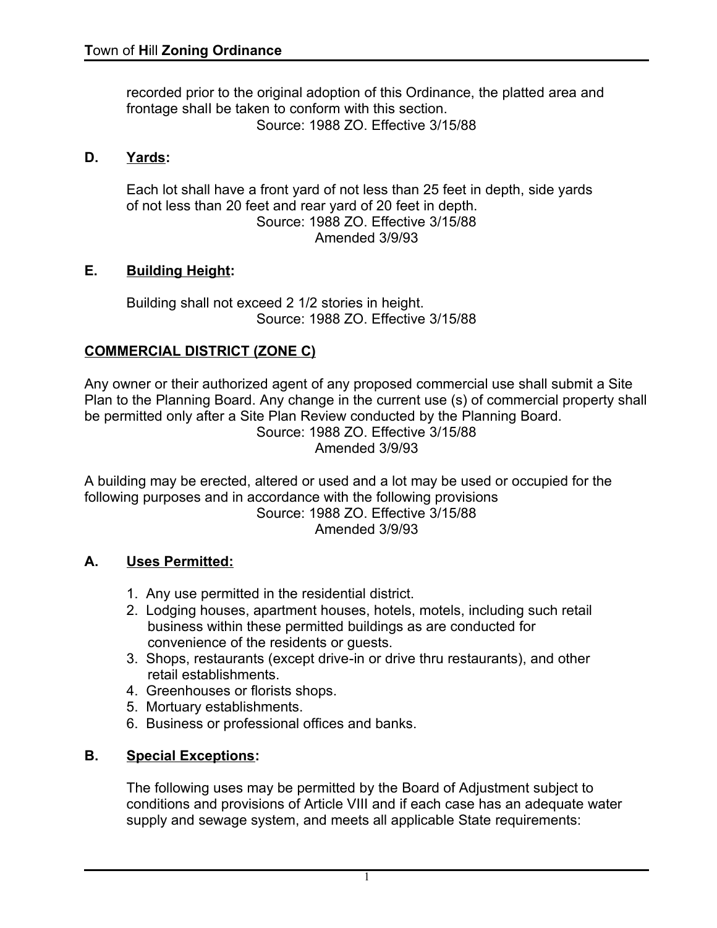recorded prior to the original adoption of this Ordinance, the platted area and frontage shalI be taken to conform with this section. Source: 1988 ZO. Effective 3/15/88

#### **D. Yards:**

Each lot shall have a front yard of not less than 25 feet in depth, side yards of not less than 20 feet and rear yard of 20 feet in depth. Source: 1988 ZO. Effective 3/15/88 Amended 3/9/93

#### **E. Building Height:**

Building shall not exceed 2 1/2 stories in height. Source: 1988 ZO. Effective 3/15/88

#### **COMMERCIAL DISTRICT (ZONE C)**

Any owner or their authorized agent of any proposed commercial use shall submit a Site Plan to the Planning Board. Any change in the current use (s) of commercial property shall be permitted only after a Site Plan Review conducted by the Planning Board. Source: 1988 ZO. Effective 3/15/88 Amended 3/9/93

A building may be erected, altered or used and a lot may be used or occupied for the following purposes and in accordance with the following provisions Source: 1988 ZO. Effective 3/15/88 Amended 3/9/93

#### **A. Uses Permitted:**

- 1. Any use permitted in the residential district.
- 2. Lodging houses, apartment houses, hotels, motels, including such retail business within these permitted buildings as are conducted for convenience of the residents or guests.
- 3. Shops, restaurants (except drive-in or drive thru restaurants), and other retail establishments.
- 4. Greenhouses or florists shops.
- 5. Mortuary establishments.
- 6. Business or professional offices and banks.

#### **B. Special Exceptions:**

The following uses may be permitted by the Board of Adjustment subject to conditions and provisions of Article VIII and if each case has an adequate water supply and sewage system, and meets all applicable State requirements: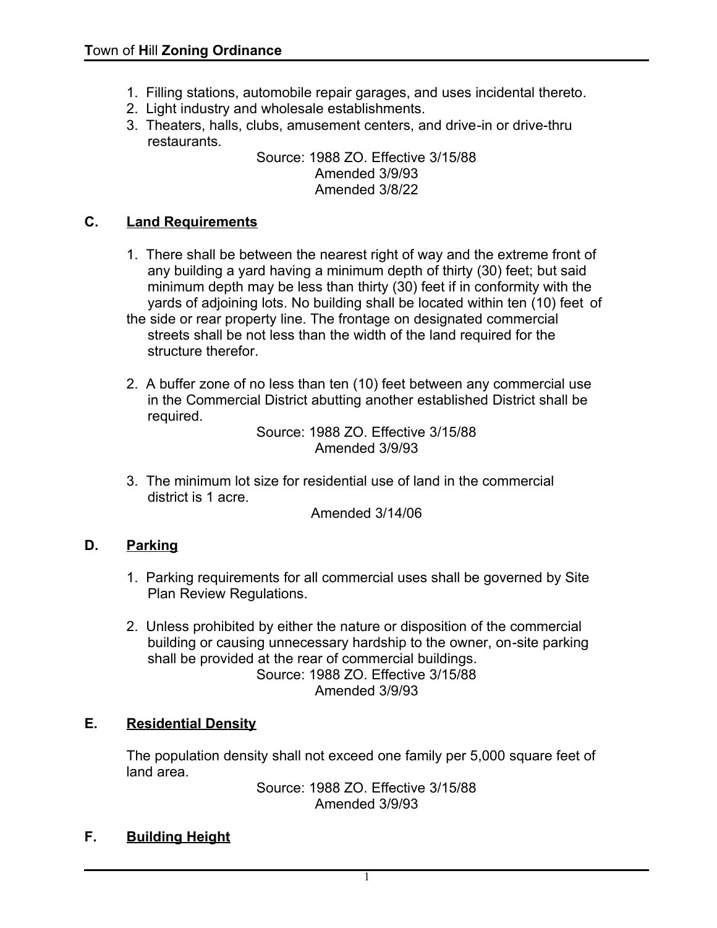- 1. Filling stations, automobile repair garages, and uses incidental thereto.
- 2. Light industry and wholesale establishments.
- 3. Theaters, halls, clubs, amusement centers, and drive-in or drive-thru restaurants.

Source: 1988 ZO. Effective 3/15/88 Amended 3/9/93 Amended 3/8/22

#### **C. Land Requirements**

- 1. There shall be between the nearest right of way and the extreme front of any building a yard having a minimum depth of thirty (30) feet; but said minimum depth may be less than thirty (30) feet if in conformity with the yards of adjoining lots. No building shall be located within ten (10) feet of
- the side or rear property line. The frontage on designated commercial streets shall be not less than the width of the land required for the structure therefor.
- 2. A buffer zone of no less than ten (10) feet between any commercial use in the Commercial District abutting another established District shall be required.

Source: 1988 ZO. Effective 3/15/88 Amended 3/9/93

3. The minimum lot size for residential use of land in the commercial district is 1 acre.

Amended 3/14/06

#### **D. Parking**

- 1. Parking requirements for all commercial uses shall be governed by Site Plan Review Regulations.
- 2. Unless prohibited by either the nature or disposition of the commercial building or causing unnecessary hardship to the owner, on-site parking shall be provided at the rear of commercial buildings. Source: 1988 ZO. Effective 3/15/88 Amended 3/9/93

#### **E. Residential Density**

The population density shall not exceed one family per 5,000 square feet of land area.

Source: 1988 ZO. Effective 3/15/88 Amended 3/9/93

#### **F. Building Height**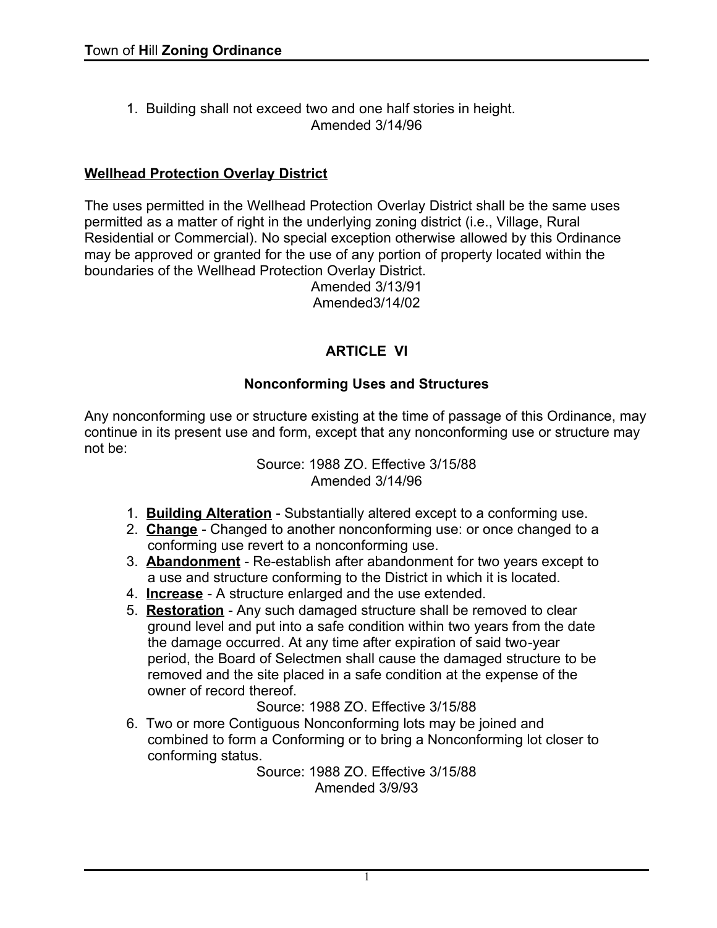1. Building shall not exceed two and one half stories in height. Amended 3/14/96

#### **Wellhead Protection Overlay District**

The uses permitted in the Wellhead Protection Overlay District shall be the same uses permitted as a matter of right in the underlying zoning district (i.e., Village, Rural Residential or Commercial). No special exception otherwise allowed by this Ordinance may be approved or granted for the use of any portion of property located within the boundaries of the Wellhead Protection Overlay District.

Amended 3/13/91 Amended3/14/02

## **ARTICLE VI**

#### **Nonconforming Uses and Structures**

Any nonconforming use or structure existing at the time of passage of this Ordinance, may continue in its present use and form, except that any nonconforming use or structure may not be:

> Source: 1988 ZO. Effective 3/15/88 Amended 3/14/96

- 1. **Building Alteration** Substantially altered except to a conforming use.
- 2. **Change** Changed to another nonconforming use: or once changed to a conforming use revert to a nonconforming use.
- 3. **Abandonment** Re-establish after abandonment for two years except to a use and structure conforming to the District in which it is located.
- 4. **Increase** A structure enlarged and the use extended.
- 5. **Restoration** Any such damaged structure shall be removed to clear ground level and put into a safe condition within two years from the date the damage occurred. At any time after expiration of said two-year period, the Board of Selectmen shall cause the damaged structure to be removed and the site placed in a safe condition at the expense of the owner of record thereof.

Source: 1988 ZO. Effective 3/15/88

6. Two or more Contiguous Nonconforming lots may be joined and combined to form a Conforming or to bring a Nonconforming lot closer to conforming status.

Source: 1988 ZO. Effective 3/15/88 Amended 3/9/93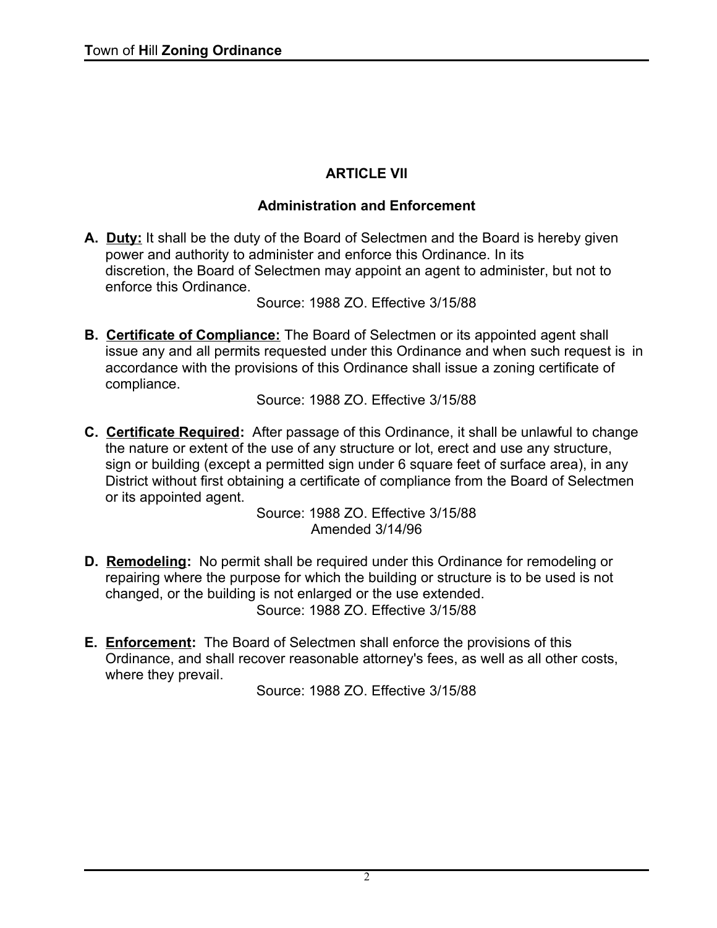## **ARTICLE VIl**

#### **Administration and Enforcement**

**A. Duty:** It shall be the duty of the Board of Selectmen and the Board is hereby given power and authority to administer and enforce this Ordinance. In its discretion, the Board of Selectmen may appoint an agent to administer, but not to enforce this Ordinance.

Source: 1988 ZO. Effective 3/15/88

**B. Certificate of Compliance:** The Board of Selectmen or its appointed agent shall issue any and all permits requested under this Ordinance and when such request is in accordance with the provisions of this Ordinance shall issue a zoning certificate of compliance.

Source: 1988 ZO. Effective 3/15/88

**C. Certificate Required:** After passage of this Ordinance, it shall be unlawful to change the nature or extent of the use of any structure or lot, erect and use any structure, sign or building (except a permitted sign under 6 square feet of surface area), in any District without first obtaining a certificate of compliance from the Board of Selectmen or its appointed agent.

Source: 1988 ZO. Effective 3/15/88 Amended 3/14/96

- **D. Remodeling:** No permit shall be required under this Ordinance for remodeling or repairing where the purpose for which the building or structure is to be used is not changed, or the building is not enlarged or the use extended. Source: 1988 ZO. Effective 3/15/88
- **E. Enforcement:** The Board of Selectmen shall enforce the provisions of this Ordinance, and shall recover reasonable attorney's fees, as well as all other costs, where they prevail.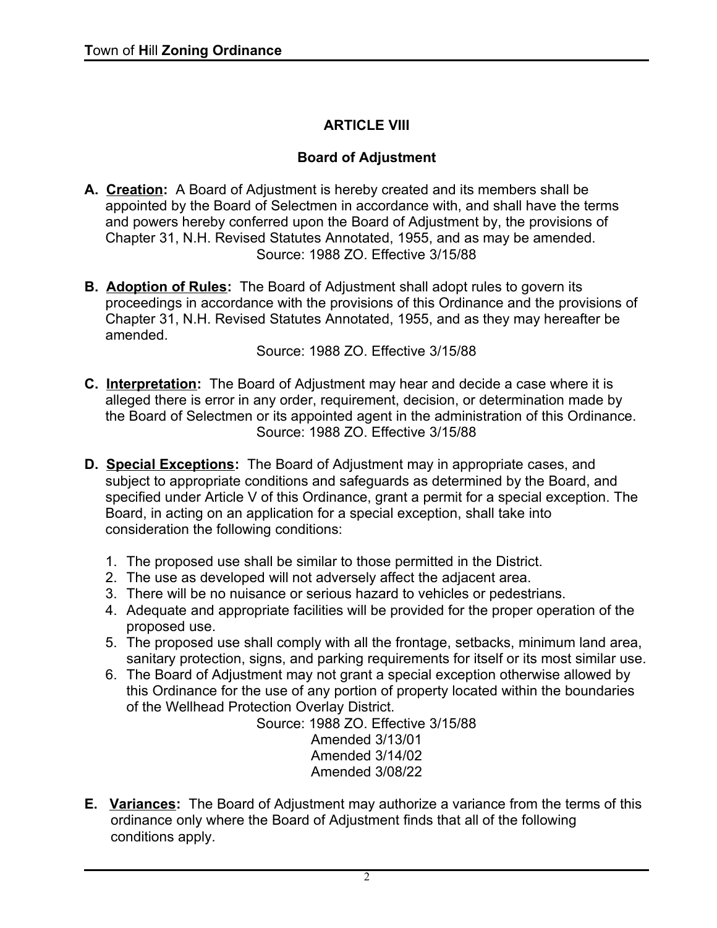## **ARTICLE VIII**

#### **Board of Adjustment**

- **A. Creation:** A Board of Adjustment is hereby created and its members shall be appointed by the Board of Selectmen in accordance with, and shall have the terms and powers hereby conferred upon the Board of Adjustment by, the provisions of Chapter 31, N.H. Revised Statutes Annotated, 1955, and as may be amended. Source: 1988 ZO. Effective 3/15/88
- **B. Adoption of Rules:** The Board of Adjustment shall adopt rules to govern its proceedings in accordance with the provisions of this Ordinance and the provisions of Chapter 31, N.H. Revised Statutes Annotated, 1955, and as they may hereafter be amended.

Source: 1988 ZO. Effective 3/15/88

- **C. Interpretation:** The Board of Adjustment may hear and decide a case where it is alleged there is error in any order, requirement, decision, or determination made by the Board of Selectmen or its appointed agent in the administration of this Ordinance. Source: 1988 ZO. Effective 3/15/88
- **D. Special Exceptions:** The Board of Adjustment may in appropriate cases, and subject to appropriate conditions and safeguards as determined by the Board, and specified under Article V of this Ordinance, grant a permit for a special exception. The Board, in acting on an application for a special exception, shall take into consideration the following conditions:
	- 1. The proposed use shall be similar to those permitted in the District.
	- 2. The use as developed will not adversely affect the adjacent area.
	- 3. There will be no nuisance or serious hazard to vehicles or pedestrians.
	- 4. Adequate and appropriate facilities will be provided for the proper operation of the proposed use.
	- 5. The proposed use shall comply with all the frontage, setbacks, minimum land area, sanitary protection, signs, and parking requirements for itself or its most similar use.
	- 6. The Board of Adjustment may not grant a special exception otherwise allowed by this Ordinance for the use of any portion of property located within the boundaries of the Wellhead Protection Overlay District.

Source: 1988 ZO. Effective 3/15/88 Amended 3/13/01 Amended 3/14/02 Amended 3/08/22

**E. Variances:** The Board of Adjustment may authorize a variance from the terms of this ordinance only where the Board of Adjustment finds that all of the following conditions apply.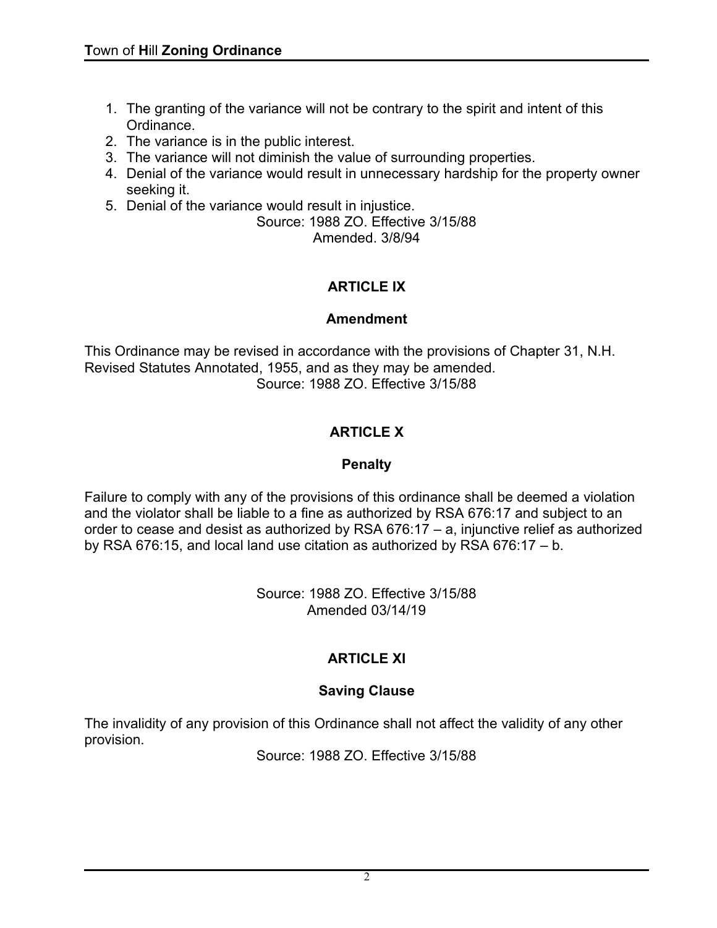- 1. The granting of the variance will not be contrary to the spirit and intent of this Ordinance.
- 2. The variance is in the public interest.
- 3. The variance will not diminish the value of surrounding properties.
- 4. Denial of the variance would result in unnecessary hardship for the property owner seeking it.
- 5. Denial of the variance would result in injustice.

Source: 1988 ZO. Effective 3/15/88

Amended. 3/8/94

## **ARTICLE IX**

#### **Amendment**

This Ordinance may be revised in accordance with the provisions of Chapter 31, N.H. Revised Statutes Annotated, 1955, and as they may be amended. Source: 1988 ZO. Effective 3/15/88

#### **ARTICLE X**

#### **Penalty**

Failure to comply with any of the provisions of this ordinance shall be deemed a violation and the violator shall be liable to a fine as authorized by RSA 676:17 and subject to an order to cease and desist as authorized by RSA 676:17 – a, injunctive relief as authorized by RSA 676:15, and local land use citation as authorized by RSA 676:17 – b.

> Source: 1988 ZO. Effective 3/15/88 Amended 03/14/19

## **ARTICLE XI**

#### **Saving Clause**

The invalidity of any provision of this Ordinance shall not affect the validity of any other provision.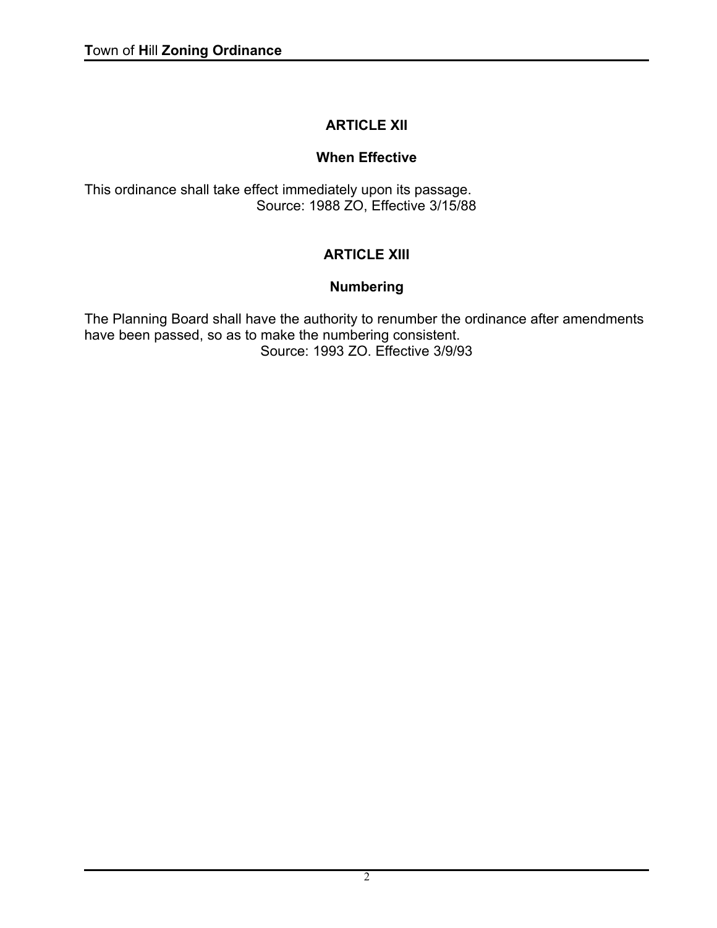## **ARTICLE XII**

#### **When Effective**

This ordinance shall take effect immediately upon its passage. Source: 1988 ZO, Effective 3/15/88

## **ARTICLE XIII**

## **Numbering**

The Planning Board shall have the authority to renumber the ordinance after amendments have been passed, so as to make the numbering consistent. Source: 1993 ZO. Effective 3/9/93